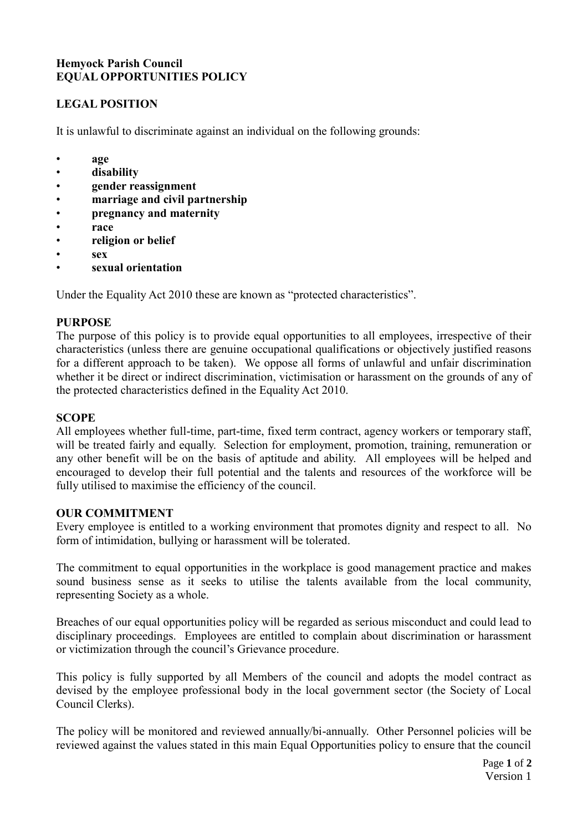# **Hemyock Parish Council EQUAL OPPORTUNITIES POLICY**

# **LEGAL POSITION**

It is unlawful to discriminate against an individual on the following grounds:

- **age**
- **disability**
- **gender reassignment**
- **marriage and civil partnership**
- **pregnancy and maternity**
- **race**
- **religion or belief**
- **sex**
- **sexual orientation**

Under the Equality Act 2010 these are known as "protected characteristics".

## **PURPOSE**

The purpose of this policy is to provide equal opportunities to all employees, irrespective of their characteristics (unless there are genuine occupational qualifications or objectively justified reasons for a different approach to be taken). We oppose all forms of unlawful and unfair discrimination whether it be direct or indirect discrimination, victimisation or harassment on the grounds of any of the protected characteristics defined in the Equality Act 2010.

## **SCOPE**

All employees whether full-time, part-time, fixed term contract, agency workers or temporary staff, will be treated fairly and equally. Selection for employment, promotion, training, remuneration or any other benefit will be on the basis of aptitude and ability. All employees will be helped and encouraged to develop their full potential and the talents and resources of the workforce will be fully utilised to maximise the efficiency of the council.

### **OUR COMMITMENT**

Every employee is entitled to a working environment that promotes dignity and respect to all. No form of intimidation, bullying or harassment will be tolerated.

The commitment to equal opportunities in the workplace is good management practice and makes sound business sense as it seeks to utilise the talents available from the local community, representing Society as a whole.

Breaches of our equal opportunities policy will be regarded as serious misconduct and could lead to disciplinary proceedings. Employees are entitled to complain about discrimination or harassment or victimization through the council's Grievance procedure.

This policy is fully supported by all Members of the council and adopts the model contract as devised by the employee professional body in the local government sector (the Society of Local Council Clerks).

The policy will be monitored and reviewed annually/bi-annually. Other Personnel policies will be reviewed against the values stated in this main Equal Opportunities policy to ensure that the council